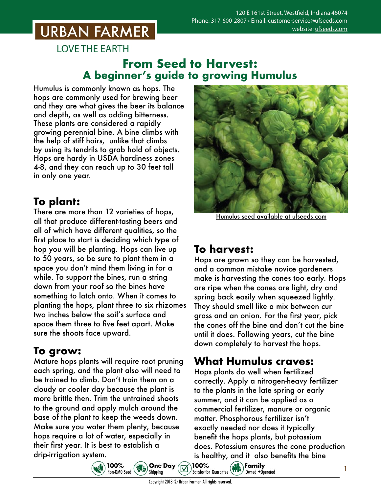# **URBAN FARMER**

**LOVE THE EARTH** 

#### **From Seed to Harvest: A beginner's guide to growing Humulus**

Humulus is commonly known as hops. The hops are commonly used for brewing beer and they are what gives the beer its balance and depth, as well as adding bitterness. These plants are considered a rapidly growing perennial bine. A bine climbs with the help of stiff hairs, unlike that climbs by using its tendrils to grab hold of objects. Hops are hardy in USDA hardiness zones 4-8, and they can reach up to 30 feet tall in only one year.

# **To plant:**

There are more than 12 varieties of hops, all that produce different-tasting beers and all of which have different qualities, so the first place to start is deciding which type of hop you will be planting. Hops can live up to 50 years, so be sure to plant them in a space you don't mind them living in for a while. To support the bines, run a string down from your roof so the bines have something to latch onto. When it comes to planting the hops, plant three to six rhizomes two inches below the soil's surface and space them three to five feet apart. Make sure the shoots face upward.

## **To grow:**

Mature hops plants will require root pruning each spring, and the plant also will need to be trained to climb. Don't train them on a cloudy or cooler day because the plant is more brittle then. Trim the untrained shoots to the ground and apply mulch around the base of the plant to keep the weeds down. Make sure you water them plenty, because hops require a lot of water, especially in their first year. It is best to establish a drip-irrigation system.



Humulus seed [available at ufseeds.com](https://www.ufseeds.com/product-category/flowers/humulus-hop/)

### **To harvest:**

Hops are grown so they can be harvested, and a common mistake novice gardeners make is harvesting the cones too early. Hops are ripe when the cones are light, dry and spring back easily when squeezed lightly. They should smell like a mix between cur grass and an onion. For the first year, pick the cones off the bine and don't cut the bine until it does. Following years, cut the bine down completely to harvest the hops.

## **What Humulus craves:**

Hops plants do well when fertilized correctly. Apply a nitrogen-heavy fertilizer to the plants in the late spring or early summer, and it can be applied as a commercial fertilizer, manure or organic matter. Phosphorous fertilizer isn't exactly needed nor does it typically benefit the hops plants, but potassium does. Potassium ensures the cone production is healthy, and it also benefits the bine<br>100%<br>sticketion figuration (

Owned +Operated



**Satisfaction Guarantee** 

100%

**One Day** 

Shipping